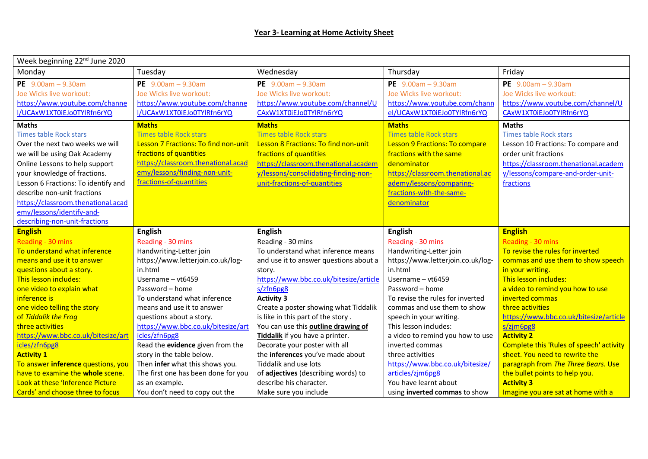| Week beginning 22 <sup>nd</sup> June 2020                            |                                                  |                                                  |                                                        |                                                         |  |  |
|----------------------------------------------------------------------|--------------------------------------------------|--------------------------------------------------|--------------------------------------------------------|---------------------------------------------------------|--|--|
| Monday                                                               | Tuesday                                          | Wednesday                                        | Thursday                                               | Friday                                                  |  |  |
| PE $9.00am - 9.30am$                                                 | PE $9.00am - 9.30am$                             | PE $9.00am - 9.30am$                             | PE $9.00am - 9.30am$                                   | PE $9.00am - 9.30am$                                    |  |  |
| Joe Wicks live workout:                                              | Joe Wicks live workout:                          | Joe Wicks live workout:                          | Joe Wicks live workout:                                | Joe Wicks live workout:                                 |  |  |
| https://www.youtube.com/channe                                       | https://www.youtube.com/channe                   | https://www.youtube.com/channel/U                | https://www.youtube.com/chann                          | https://www.youtube.com/channel/U                       |  |  |
| I/UCAxW1XT0iEJo0TYlRfn6rYQ                                           | I/UCAxW1XT0iEJo0TYlRfn6rYQ                       | CAxW1XT0iEJo0TYlRfn6rYQ                          | el/UCAxW1XT0iEJo0TYlRfn6rYQ                            | CAxW1XT0iEJo0TYlRfn6rYQ                                 |  |  |
| <b>Maths</b>                                                         | <b>Maths</b>                                     | <b>Maths</b>                                     | <b>Maths</b>                                           | <b>Maths</b>                                            |  |  |
| Times table Rock stars                                               | <b>Times table Rock stars</b>                    | <b>Times table Rock stars</b>                    | <b>Times table Rock stars</b>                          | <b>Times table Rock stars</b>                           |  |  |
| Over the next two weeks we will                                      | Lesson 7 Fractions: To find non-unit             | Lesson 8 Fractions: To find non-unit             | <b>Lesson 9 Fractions: To compare</b>                  | Lesson 10 Fractions: To compare and                     |  |  |
| we will be using Oak Academy                                         | fractions of quantities                          | fractions of quantities                          | fractions with the same                                | order unit fractions                                    |  |  |
| Online Lessons to help support                                       | https://classroom.thenational.acad               | https://classroom.thenational.academ             | denominator                                            | https://classroom.thenational.academ                    |  |  |
| your knowledge of fractions.                                         | emy/lessons/finding-non-unit-                    | y/lessons/consolidating-finding-non-             | https://classroom.thenational.ac                       | y/lessons/compare-and-order-unit-                       |  |  |
| Lesson 6 Fractions: To identify and                                  | fractions-of-quantities                          | unit-fractions-of-quantities                     | ademy/lessons/comparing-                               | fractions                                               |  |  |
| describe non-unit fractions                                          |                                                  |                                                  | fractions-with-the-same-                               |                                                         |  |  |
| https://classroom.thenational.acad                                   |                                                  |                                                  | denominator                                            |                                                         |  |  |
| emy/lessons/identify-and-                                            |                                                  |                                                  |                                                        |                                                         |  |  |
| describing-non-unit-fractions                                        |                                                  |                                                  |                                                        |                                                         |  |  |
|                                                                      |                                                  |                                                  |                                                        |                                                         |  |  |
| <b>English</b>                                                       | <b>English</b>                                   | <b>English</b>                                   | <b>English</b>                                         | <b>English</b>                                          |  |  |
| Reading - 30 mins                                                    | Reading - 30 mins                                | Reading - 30 mins                                | Reading - 30 mins                                      | Reading - 30 mins                                       |  |  |
| To understand what inference                                         | Handwriting-Letter join                          | To understand what inference means               | Handwriting-Letter join                                | To revise the rules for inverted                        |  |  |
| means and use it to answer                                           | https://www.letterjoin.co.uk/log-                | and use it to answer questions about a           | https://www.letterjoin.co.uk/log-                      | commas and use them to show speech                      |  |  |
| questions about a story.                                             | in.html                                          | story.                                           | in.html                                                | in your writing.                                        |  |  |
| This lesson includes:                                                | Username - vt6459                                | https://www.bbc.co.uk/bitesize/article           | Username - vt6459                                      | This lesson includes:                                   |  |  |
| one video to explain what                                            | Password - home                                  | s/zfn6pg8                                        | Password - home                                        | a video to remind you how to use                        |  |  |
| inference is                                                         | To understand what inference                     | <b>Activity 3</b>                                | To revise the rules for inverted                       | inverted commas                                         |  |  |
| one video telling the story                                          | means and use it to answer                       | Create a poster showing what Tiddalik            | commas and use them to show                            | three activities                                        |  |  |
| of Tiddalik the Frog                                                 | questions about a story.                         | is like in this part of the story.               | speech in your writing.                                | https://www.bbc.co.uk/bitesize/article                  |  |  |
| three activities                                                     | https://www.bbc.co.uk/bitesize/art               | You can use this <b>outline drawing of</b>       | This lesson includes:                                  | s/zjm6pg8                                               |  |  |
| https://www.bbc.co.uk/bitesize/art                                   | icles/zfn6pg8                                    | Tiddalik if you have a printer.                  | a video to remind you how to use                       | <b>Activity 2</b>                                       |  |  |
| icles/zfn6pg8                                                        | Read the evidence given from the                 | Decorate your poster with all                    | inverted commas                                        | Complete this 'Rules of speech' activity                |  |  |
| <b>Activity 1</b>                                                    | story in the table below.                        | the inferences you've made about                 | three activities                                       | sheet. You need to rewrite the                          |  |  |
| To answer inference questions, you                                   | Then infer what this shows you.                  | Tiddalik and use lots                            | https://www.bbc.co.uk/bitesize/                        | paragraph from The Three Bears. Use                     |  |  |
| have to examine the whole scene.                                     | The first one has been done for you              | of adjectives (describing words) to              | articles/zjm6pg8                                       | the bullet points to help you.                          |  |  |
| Look at these 'Inference Picture<br>Cards' and choose three to focus | as an example.<br>You don't need to copy out the | describe his character.<br>Make sure you include | You have learnt about<br>using inverted commas to show | <b>Activity 3</b><br>Imagine you are sat at home with a |  |  |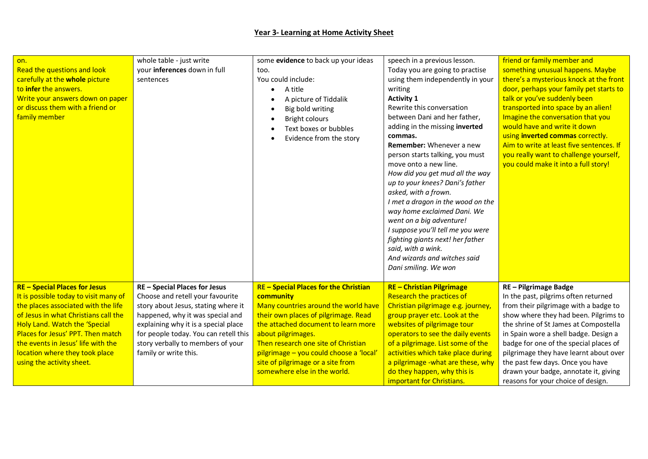## **Year 3- Learning at Home Activity Sheet**

| on.<br>Read the questions and look<br>carefully at the whole picture<br>to infer the answers.<br>Write your answers down on paper<br>or discuss them with a friend or<br>family member                                                                                                                                                         | whole table - just write<br>your inferences down in full<br>sentences                                                                                                                                                                                                                       | some evidence to back up your ideas<br>too.<br>You could include:<br>A title<br>A picture of Tiddalik<br>Big bold writing<br><b>Bright colours</b><br>$\bullet$<br>Text boxes or bubbles<br>Evidence from the story                                                                                                                                         | speech in a previous lesson.<br>Today you are going to practise<br>using them independently in your<br>writing<br><b>Activity 1</b><br>Rewrite this conversation<br>between Dani and her father,<br>adding in the missing inverted<br>commas.<br><b>Remember:</b> Whenever a new<br>person starts talking, you must<br>move onto a new line.<br>How did you get mud all the way<br>up to your knees? Dani's father<br>asked, with a frown.<br>I met a dragon in the wood on the<br>way home exclaimed Dani. We<br>went on a big adventure!<br>I suppose you'll tell me you were<br>fighting giants next! her father<br>said, with a wink.<br>And wizards and witches said<br>Dani smiling. We won | friend or family member and<br>something unusual happens. Maybe<br>there's a mysterious knock at the front<br>door, perhaps your family pet starts to<br>talk or you've suddenly been<br>transported into space by an alien!<br>Imagine the conversation that you<br>would have and write it down<br>using inverted commas correctly.<br>Aim to write at least five sentences. If<br>you really want to challenge yourself,<br>you could make it into a full story! |
|------------------------------------------------------------------------------------------------------------------------------------------------------------------------------------------------------------------------------------------------------------------------------------------------------------------------------------------------|---------------------------------------------------------------------------------------------------------------------------------------------------------------------------------------------------------------------------------------------------------------------------------------------|-------------------------------------------------------------------------------------------------------------------------------------------------------------------------------------------------------------------------------------------------------------------------------------------------------------------------------------------------------------|---------------------------------------------------------------------------------------------------------------------------------------------------------------------------------------------------------------------------------------------------------------------------------------------------------------------------------------------------------------------------------------------------------------------------------------------------------------------------------------------------------------------------------------------------------------------------------------------------------------------------------------------------------------------------------------------------|---------------------------------------------------------------------------------------------------------------------------------------------------------------------------------------------------------------------------------------------------------------------------------------------------------------------------------------------------------------------------------------------------------------------------------------------------------------------|
| <b>RE - Special Places for Jesus</b><br>It is possible today to visit many of<br>the places associated with the life<br>of Jesus in what Christians call the<br><b>Holy Land. Watch the 'Special</b><br>Places for Jesus' PPT. Then match<br>the events in Jesus' life with the<br>location where they took place<br>using the activity sheet. | RE - Special Places for Jesus<br>Choose and retell your favourite<br>story about Jesus, stating where it<br>happened, why it was special and<br>explaining why it is a special place<br>for people today. You can retell this<br>story verbally to members of your<br>family or write this. | <b>RE-Special Places for the Christian</b><br>community<br>Many countries around the world have<br>their own places of pilgrimage. Read<br>the attached document to learn more<br>about pilgrimages.<br>Then research one site of Christian<br>pilgrimage - you could choose a 'local'<br>site of pilgrimage or a site from<br>somewhere else in the world. | <b>RE-Christian Pilgrimage</b><br><b>Research the practices of</b><br>Christian pilgrimage e.g. journey,<br>group prayer etc. Look at the<br>websites of pilgrimage tour<br>operators to see the daily events<br>of a pilgrimage. List some of the<br>activities which take place during<br>a pilgrimage - what are these, why<br>do they happen, why this is<br>important for Christians.                                                                                                                                                                                                                                                                                                        | RE - Pilgrimage Badge<br>In the past, pilgrims often returned<br>from their pilgrimage with a badge to<br>show where they had been. Pilgrims to<br>the shrine of St James at Compostella<br>in Spain wore a shell badge. Design a<br>badge for one of the special places of<br>pilgrimage they have learnt about over<br>the past few days. Once you have<br>drawn your badge, annotate it, giving<br>reasons for your choice of design.                            |